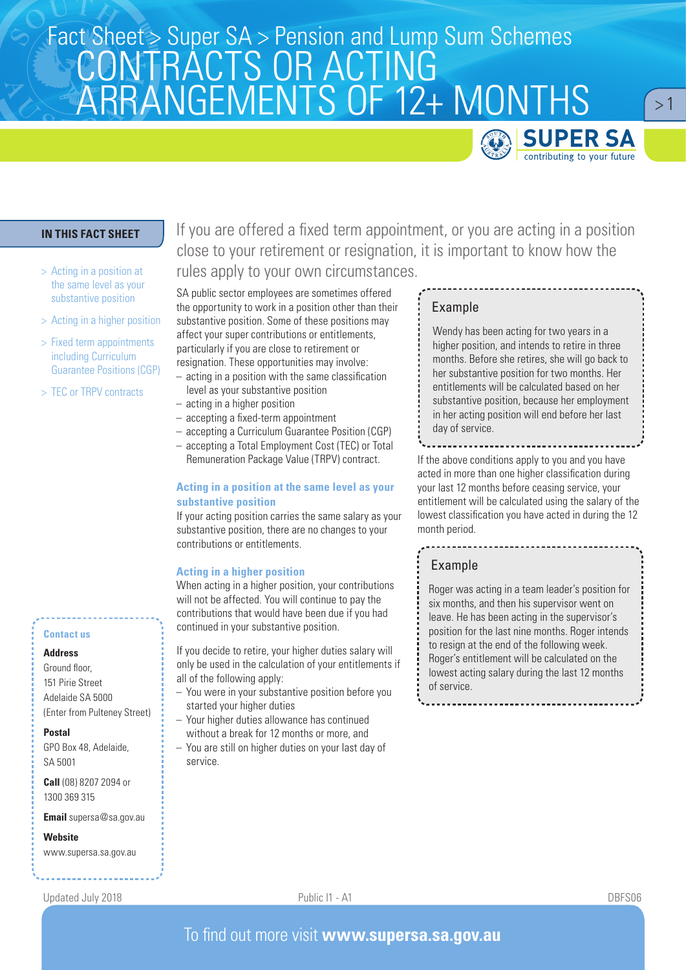# Fact Sheet > Super SA > Pension and Lump Sum Schemes<br>CONITD ACTO OD ACTINIC CONTRACTS OR ACTING ARRANGEMENTS OF 12+ MONTHS



 $>1$ 

# **IN THIS FACT SHEET**

- > Acting in a position at the same level as your substantive position
- > Acting in a higher position
- > Fixed term appointments including Curriculum Guarantee Positions (CGP)
- > TEC or TRPV contracts

### **Contact us**

### **Address**

Ground floor, 151 Pirie Street Adelaide SA 5000 (Enter from Pulteney Street)

#### **Postal**

GPO Box 48, Adelaide, SA 5001

**Call** (08) 8207 2094 or 1300 369 315

**Email** supersa@sa.gov.au

**Website**

www.supersa.sa.gov.au

If you are offered a fixed term appointment, or you are acting in a position close to your retirement or resignation, it is important to know how the rules apply to your own circumstances.

SA public sector employees are sometimes offered the opportunity to work in a position other than their substantive position. Some of these positions may affect your super contributions or entitlements, particularly if you are close to retirement or resignation. These opportunities may involve:

- acting in a position with the same classification level as your substantive position
- acting in a higher position
- accepting a fixed-term appointment
- accepting a Curriculum Guarantee Position (CGP)
- accepting a Total Employment Cost (TEC) or Total Remuneration Package Value (TRPV) contract.

# **Acting in a position at the same level as your substantive position**

If your acting position carries the same salary as your substantive position, there are no changes to your contributions or entitlements.

### **Acting in a higher position**

When acting in a higher position, your contributions will not be affected. You will continue to pay the contributions that would have been due if you had continued in your substantive position.

If you decide to retire, your higher duties salary will only be used in the calculation of your entitlements if all of the following apply:

- You were in your substantive position before you started your higher duties
- Your higher duties allowance has continued without a break for 12 months or more, and
- You are still on higher duties on your last day of service.

### Example

Wendy has been acting for two years in a higher position, and intends to retire in three months. Before she retires, she will go back to her substantive position for two months. Her entitlements will be calculated based on her substantive position, because her employment in her acting position will end before her last day of service.

If the above conditions apply to you and you have acted in more than one higher classification during your last 12 months before ceasing service, your entitlement will be calculated using the salary of the lowest classification you have acted in during the 12 month period.

# Example

Roger was acting in a team leader's position for six months, and then his supervisor went on leave. He has been acting in the supervisor's position for the last nine months. Roger intends to resign at the end of the following week. Roger's entitlement will be calculated on the lowest acting salary during the last 12 months of service.

Updated July 2018 Public I1 - A1 DBFS06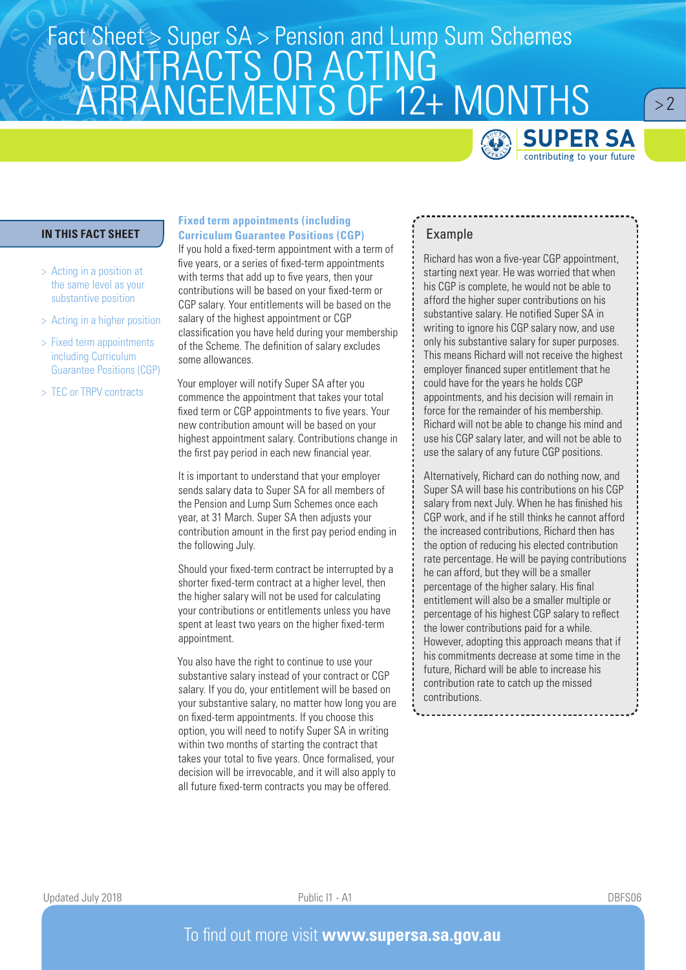# Fact Sheet > Super SA > Pension and Lump Sum Schemes<br>CONITD ACTO OD ACTINIC CONTRACTS OR ACTING ARRANGEMENTS OF 12+ MONTHS



 $> 2$ 

# **IN THIS FACT SHEET**

- > Acting in a position at the same level as your substantive position
- > Acting in a higher position
- > Fixed term appointments including Curriculum Guarantee Positions (CGP)
- > TEC or TRPV contracts

## **Fixed term appointments (including Curriculum Guarantee Positions (CGP)**

If you hold a fixed-term appointment with a term of five years, or a series of fixed-term appointments with terms that add up to five years, then your contributions will be based on your fixed-term or CGP salary. Your entitlements will be based on the salary of the highest appointment or CGP classification you have held during your membership of the Scheme. The definition of salary excludes some allowances.

Your employer will notify Super SA after you commence the appointment that takes your total fixed term or CGP appointments to five years. Your new contribution amount will be based on your highest appointment salary. Contributions change in the first pay period in each new financial year.

It is important to understand that your employer sends salary data to Super SA for all members of the Pension and Lump Sum Schemes once each year, at 31 March. Super SA then adjusts your contribution amount in the first pay period ending in the following July.

Should your fixed-term contract be interrupted by a shorter fixed-term contract at a higher level, then the higher salary will not be used for calculating your contributions or entitlements unless you have spent at least two years on the higher fixed-term appointment.

You also have the right to continue to use your substantive salary instead of your contract or CGP salary. If you do, your entitlement will be based on your substantive salary, no matter how long you are on fixed-term appointments. If you choose this option, you will need to notify Super SA in writing within two months of starting the contract that takes your total to five years. Once formalised, your decision will be irrevocable, and it will also apply to all future fixed-term contracts you may be offered.

# Example

Richard has won a five-year CGP appointment, starting next year. He was worried that when his CGP is complete, he would not be able to afford the higher super contributions on his substantive salary. He notified Super SA in writing to ignore his CGP salary now, and use only his substantive salary for super purposes. This means Richard will not receive the highest employer financed super entitlement that he could have for the years he holds CGP appointments, and his decision will remain in force for the remainder of his membership. Richard will not be able to change his mind and use his CGP salary later, and will not be able to use the salary of any future CGP positions.

Alternatively, Richard can do nothing now, and Super SA will base his contributions on his CGP salary from next July. When he has finished his CGP work, and if he still thinks he cannot afford the increased contributions, Richard then has the option of reducing his elected contribution rate percentage. He will be paying contributions he can afford, but they will be a smaller percentage of the higher salary. His final entitlement will also be a smaller multiple or percentage of his highest CGP salary to reflect the lower contributions paid for a while. However, adopting this approach means that if his commitments decrease at some time in the future, Richard will be able to increase his contribution rate to catch up the missed contributions.

Updated July 2018 Public I1 - A1 DBFS06